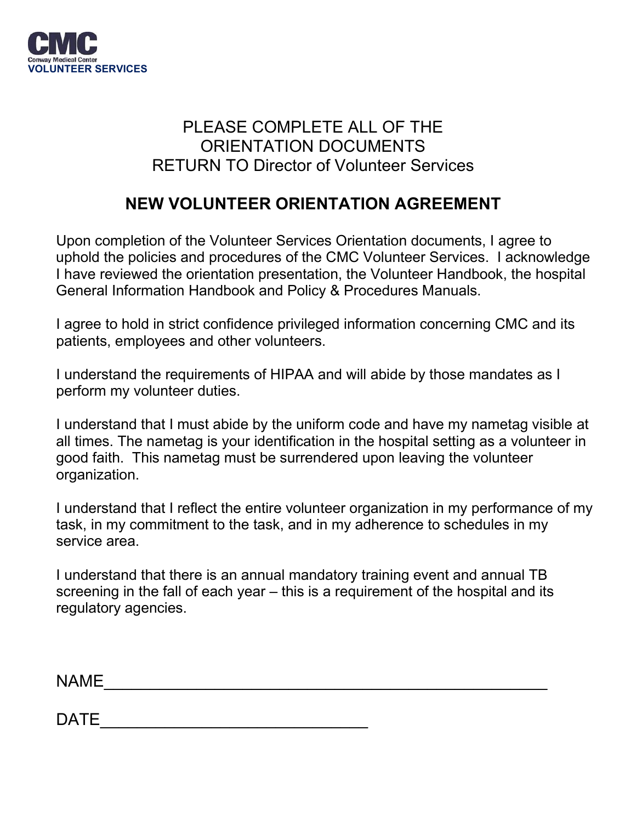

## PLEASE COMPLETE ALL OF THE ORIENTATION DOCUMENTS RETURN TO Director of Volunteer Services

### **NEW VOLUNTEER ORIENTATION AGREEMENT**

Upon completion of the Volunteer Services Orientation documents, I agree to uphold the policies and procedures of the CMC Volunteer Services. I acknowledge I have reviewed the orientation presentation, the Volunteer Handbook, the hospital General Information Handbook and Policy & Procedures Manuals.

I agree to hold in strict confidence privileged information concerning CMC and its patients, employees and other volunteers.

I understand the requirements of HIPAA and will abide by those mandates as I perform my volunteer duties.

I understand that I must abide by the uniform code and have my nametag visible at all times. The nametag is your identification in the hospital setting as a volunteer in good faith. This nametag must be surrendered upon leaving the volunteer organization.

I understand that I reflect the entire volunteer organization in my performance of my task, in my commitment to the task, and in my adherence to schedules in my service area.

I understand that there is an annual mandatory training event and annual TB screening in the fall of each year – this is a requirement of the hospital and its regulatory agencies.

NAME\_\_\_\_\_\_\_\_\_\_\_\_\_\_\_\_\_\_\_\_\_\_\_\_\_\_\_\_\_\_\_\_\_\_\_\_\_\_\_\_\_\_\_\_\_\_\_\_

DATE\_\_\_\_\_\_\_\_\_\_\_\_\_\_\_\_\_\_\_\_\_\_\_\_\_\_\_\_\_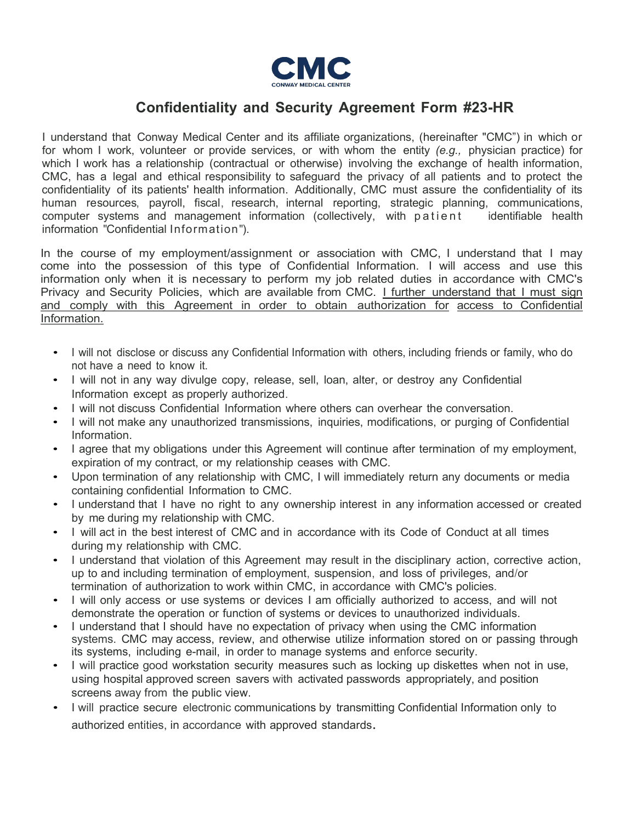

#### **Confidentiality and Security Agreement Form #23-HR**

I understand that Conway Medical Center and its affiliate organizations, (hereinafter "CMC") in which or for whom I work, volunteer or provide services, or with whom the entity *(e.g.,* physician practice) for which I work has a relationship (contractual or otherwise) involving the exchange of health information, CMC, has a legal and ethical responsibility to safeguard the privacy of all patients and to protect the confidentiality of its patients' health information. Additionally, CMC must assure the confidentiality of its human resources, payroll, fiscal, research, internal reporting, strategic planning, communications, computer systems and management information (collectively, with patient identifiable health information "Confidential Information").

In the course of my employment/assignment or association with CMC, I understand that I may come into the possession of this type of Confidential Information. I will access and use this information only when it is necessary to perform my job related duties in accordance with CMC's Privacy and Security Policies, which are available from CMC. I further understand that I must sign and comply with this Agreement in order to obtain authorization for access to Confidential Information.

- I will not disclose or discuss any Confidential Information with others, including friends or family, who do not have a need to know it.
- I will not in any way divulge copy, release, sell, loan, alter, or destroy any Confidential Information except as properly authorized.
- I will not discuss Confidential Information where others can overhear the conversation.
- I will not make any unauthorized transmissions, inquiries, modifications, or purging of Confidential Information.
- I agree that my obligations under this Agreement will continue after termination of my employment, expiration of my contract, or my relationship ceases with CMC.
- Upon termination of any relationship with CMC, I will immediately return any documents or media containing confidential Information to CMC.
- I understand that I have no right to any ownership interest in any information accessed or created by me during my relationship with CMC.
- I will act in the best interest of CMC and in accordance with its Code of Conduct at all times during my relationship with CMC.
- I understand that violation of this Agreement may result in the disciplinary action, corrective action, up to and including termination of employment, suspension, and loss of privileges, and/or termination of authorization to work within CMC, in accordance with CMC's policies.
- I will only access or use systems or devices I am officially authorized to access, and will not demonstrate the operation or function of systems or devices to unauthorized individuals.
- I understand that I should have no expectation of privacy when using the CMC information systems. CMC may access, review, and otherwise utilize information stored on or passing through its systems, including e-mail, in order to manage systems and enforce security.
- I will practice good workstation security measures such as locking up diskettes when not in use, using hospital approved screen savers with activated passwords appropriately, and position screens away from the public view.
- I will practice secure electronic communications by transmitting Confidential Information only to authorized entities, in accordance with approved standards.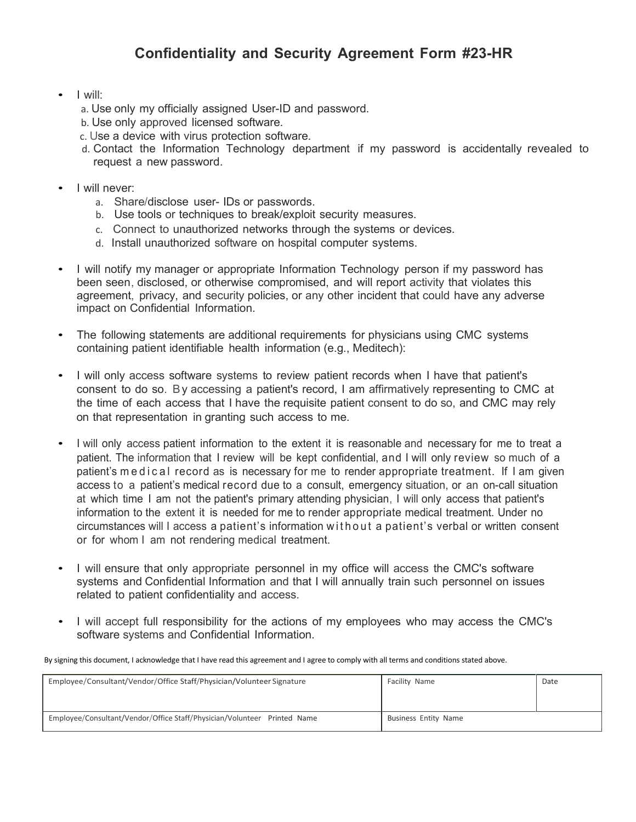#### **Confidentiality and Security Agreement Form #23-HR**

- I will:
	- a. Use only my officially assigned User-ID and password.
	- b. Use only approved licensed software.
	- c. Use a device with virus protection software.
	- d. Contact the Information Technology department if my password is accidentally revealed to request a new password.
- I will never:
	- a. Share/disclose user- IDs or passwords.
	- b. Use tools or techniques to break/exploit security measures.
	- c. Connect to unauthorized networks through the systems or devices.
	- d. Install unauthorized software on hospital computer systems.
- I will notify my manager or appropriate Information Technology person if my password has been seen, disclosed, or otherwise compromised, and will report activity that violates this agreement, privacy, and security policies, or any other incident that could have any adverse impact on Confidential Information.
- The following statements are additional requirements for physicians using CMC systems containing patient identifiable health information (e.g., Meditech):
- I will only access software systems to review patient records when I have that patient's consent to do so. By accessing a patient's record, I am affirmatively representing to CMC at the time of each access that I have the requisite patient consent to do so, and CMC may rely on that representation in granting such access to me.
- I will only access patient information to the extent it is reasonable and necessary for me to treat a patient. The information that I review will be kept confidential, and I will only review so much of a patient's medical record as is necessary for me to render appropriate treatment. If I am given access to a patient's medical record due to a consult, emergency situation, or an on-call situation at which time I am not the patient's primary attending physician, I will only access that patient's information to the extent it is needed for me to render appropriate medical treatment. Under no circumstances will I access a patient's information without a patient's verbal or written consent or for whom I am not rendering medical treatment.
- I will ensure that only appropriate personnel in my office will access the CMC's software systems and Confidential Information and that I will annually train such personnel on issues related to patient confidentiality and access.
- I will accept full responsibility for the actions of my employees who may access the CMC's software systems and Confidential Information.

By signing this document, I acknowledge that I have read this agreement and I agree to comply with all terms and conditions stated above.

| Employee/Consultant/Vendor/Office Staff/Physician/Volunteer Signature    | Facility Name               | Date |
|--------------------------------------------------------------------------|-----------------------------|------|
|                                                                          |                             |      |
| Employee/Consultant/Vendor/Office Staff/Physician/Volunteer Printed Name | <b>Business Entity Name</b> |      |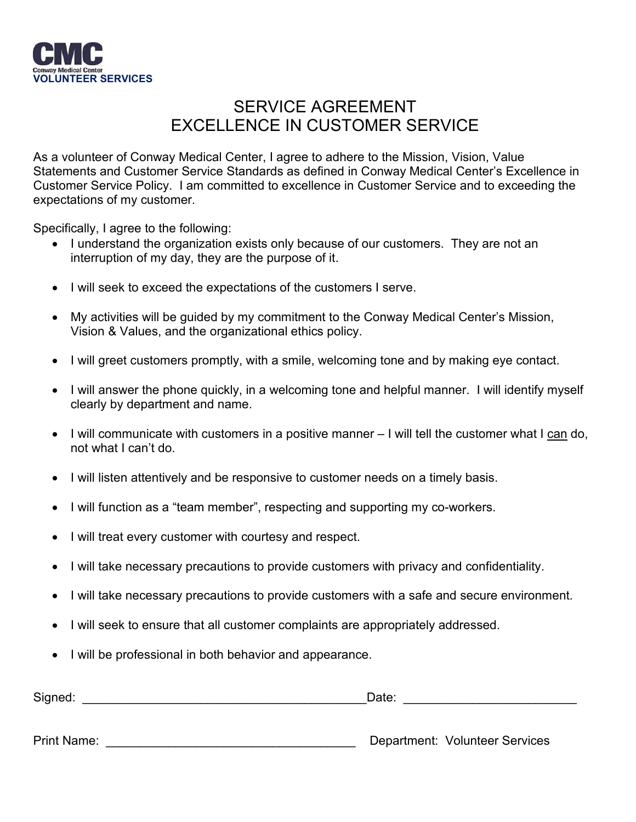

## SERVICE AGREEMENT EXCELLENCE IN CUSTOMER SERVICE

As a volunteer of Conway Medical Center, I agree to adhere to the Mission, Vision, Value Statements and Customer Service Standards as defined in Conway Medical Center's Excellence in Customer Service Policy. I am committed to excellence in Customer Service and to exceeding the expectations of my customer.

Specifically, I agree to the following:

- I understand the organization exists only because of our customers. They are not an interruption of my day, they are the purpose of it.
- I will seek to exceed the expectations of the customers I serve.
- My activities will be guided by my commitment to the Conway Medical Center's Mission, Vision & Values, and the organizational ethics policy.
- I will greet customers promptly, with a smile, welcoming tone and by making eye contact.
- I will answer the phone quickly, in a welcoming tone and helpful manner. I will identify myself clearly by department and name.
- I will communicate with customers in a positive manner I will tell the customer what I can do, not what I can't do.
- I will listen attentively and be responsive to customer needs on a timely basis.
- I will function as a "team member", respecting and supporting my co-workers.
- I will treat every customer with courtesy and respect.
- I will take necessary precautions to provide customers with privacy and confidentiality.
- I will take necessary precautions to provide customers with a safe and secure environment.
- I will seek to ensure that all customer complaints are appropriately addressed.
- I will be professional in both behavior and appearance.

| Signed: | Date: |  |
|---------|-------|--|
|---------|-------|--|

Print Name: <u>Department:</u> Volunteer Services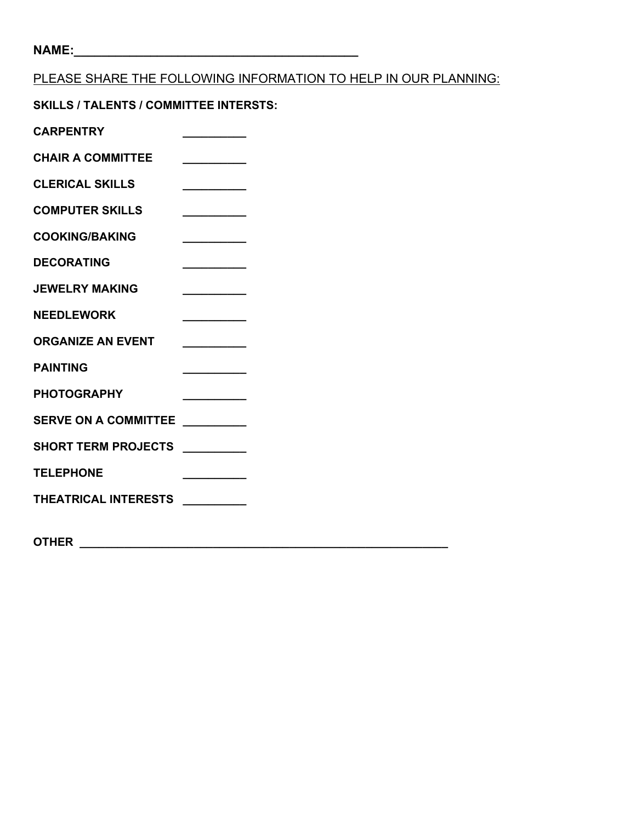#### PLEASE SHARE THE FOLLOWING INFORMATION TO HELP IN OUR PLANNING:

**SKILLS / TALENTS / COMMITTEE INTERSTS:**

| <b>CARPENTRY</b>              |                                                                         |
|-------------------------------|-------------------------------------------------------------------------|
| <b>CHAIR A COMMITTEE</b>      |                                                                         |
| <b>CLERICAL SKILLS</b>        |                                                                         |
| <b>COMPUTER SKILLS</b>        | <u> Liberal Company (1984)</u>                                          |
| <b>COOKING/BAKING</b>         | $\overline{a}$ and $\overline{a}$ and $\overline{a}$ and $\overline{a}$ |
| <b>DECORATING</b>             |                                                                         |
| <b>JEWELRY MAKING</b>         |                                                                         |
| <b>NEEDLEWORK</b>             | <u> Andrew Marian Maria San A</u>                                       |
| <b>ORGANIZE AN EVENT</b>      | $\mathcal{L}$ . The contract of $\mathcal{L}$                           |
| <b>PAINTING</b>               | <u> Liberal Company (Liberal Company)</u>                               |
| <b>PHOTOGRAPHY</b>            | <u> Andreas Andrewski (b. 1974)</u>                                     |
| <b>SERVE ON A COMMITTEE</b>   |                                                                         |
| SHORT TERM PROJECTS ________  |                                                                         |
| <b>TELEPHONE</b>              | <u> 1999 - Johann Barnett, fransk politiker</u>                         |
| THEATRICAL INTERESTS ________ |                                                                         |
|                               |                                                                         |
|                               |                                                                         |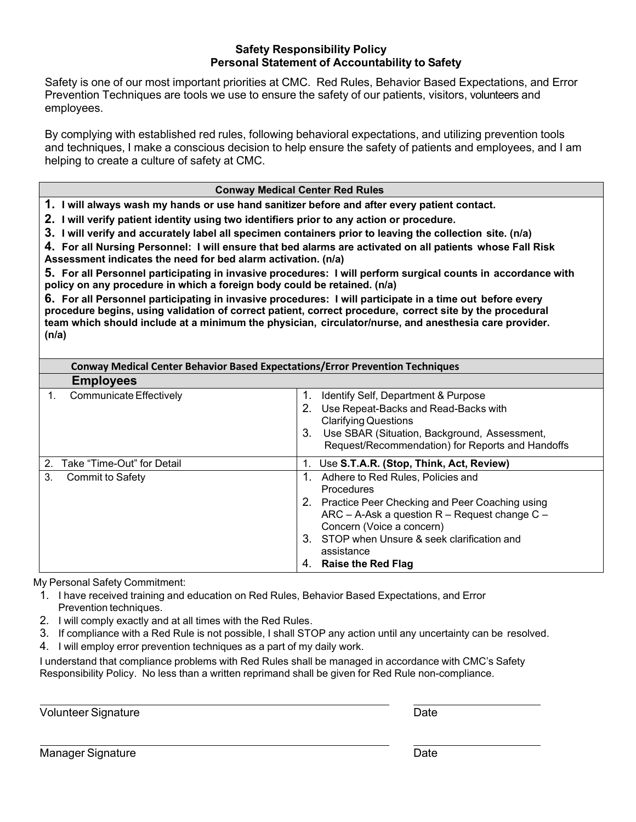#### **Safety Responsibility Policy Personal Statement of Accountability to Safety**

Safety is one of our most important priorities at CMC. Red Rules, Behavior Based Expectations, and Error Prevention Techniques are tools we use to ensure the safety of our patients, visitors, volunteers and employees.

By complying with established red rules, following behavioral expectations, and utilizing prevention tools and techniques, I make a conscious decision to help ensure the safety of patients and employees, and I am helping to create a culture of safety at CMC.

#### **Conway Medical Center Red Rules**

**1. I will always wash my hands or use hand sanitizer before and after every patient contact.**

**2. I will verify patient identity using two identifiers prior to any action or procedure.**

**3. I will verify and accurately label all specimen containers prior to leaving the collection site. (n/a)**

**4. For all Nursing Personnel: I will ensure that bed alarms are activated on all patients whose Fall Risk Assessment indicates the need for bed alarm activation. (n/a)**

**5. For all Personnel participating in invasive procedures: I will perform surgical counts in accordance with policy on any procedure in which a foreign body could be retained. (n/a)**

**6. For all Personnel participating in invasive procedures: I will participate in a time out before every procedure begins, using validation of correct patient, correct procedure, correct site by the procedural team which should include at a minimum the physician, circulator/nurse, and anesthesia care provider. (n/a)**

| <b>Conway Medical Center Behavior Based Expectations/Error Prevention Techniques</b> |                                                                                                                                                                                                                                                                                       |  |  |  |
|--------------------------------------------------------------------------------------|---------------------------------------------------------------------------------------------------------------------------------------------------------------------------------------------------------------------------------------------------------------------------------------|--|--|--|
| <b>Employees</b>                                                                     |                                                                                                                                                                                                                                                                                       |  |  |  |
| Communicate Effectively                                                              | Identify Self, Department & Purpose<br>Use Repeat-Backs and Read-Backs with<br><b>Clarifying Questions</b><br>Use SBAR (Situation, Background, Assessment,<br>3.<br>Request/Recommendation) for Reports and Handoffs                                                                  |  |  |  |
| Take "Time-Out" for Detail<br>2.                                                     | 1. Use S.T.A.R. (Stop, Think, Act, Review)                                                                                                                                                                                                                                            |  |  |  |
| 3.<br>Commit to Safety                                                               | 1. Adhere to Red Rules, Policies and<br><b>Procedures</b><br>2. Practice Peer Checking and Peer Coaching using<br>ARC - A-Ask a question $R$ - Request change C -<br>Concern (Voice a concern)<br>3. STOP when Unsure & seek clarification and<br>assistance<br>4. Raise the Red Flag |  |  |  |

My Personal Safety Commitment:

- 1. I have received training and education on Red Rules, Behavior Based Expectations, and Error Prevention techniques.
- 2. I will comply exactly and at all times with the Red Rules.
- 3. If compliance with a Red Rule is not possible, I shall STOP any action until any uncertainty can be resolved.
- 4. I will employ error prevention techniques as a part of my daily work.

I understand that compliance problems with Red Rules shall be managed in accordance with CMC's Safety Responsibility Policy. No less than a written reprimand shall be given for Red Rule non-compliance.

Volunteer Signature **Date** Date of the Date of the Date of the Date of the Date of the Date of the Date of the D

| Manager Signature | Date |
|-------------------|------|
|                   |      |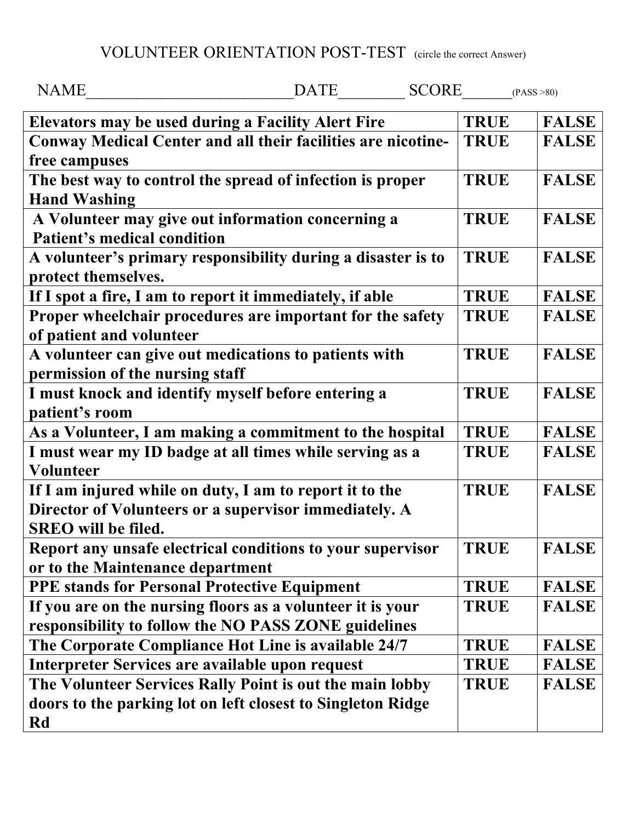VOLUNTEER ORIENTATION POST-TEST (circle the correct Answer)

| <b>NAME</b>                                                         | <b>DATE</b> | <b>SCORE</b> |             | (PASS > 80)  |
|---------------------------------------------------------------------|-------------|--------------|-------------|--------------|
| <b>Elevators may be used during a Facility Alert Fire</b>           |             |              | <b>TRUE</b> | <b>FALSE</b> |
| <b>Conway Medical Center and all their facilities are nicotine-</b> |             |              | <b>TRUE</b> | <b>FALSE</b> |
| free campuses                                                       |             |              |             |              |
| The best way to control the spread of infection is proper           |             |              | <b>TRUE</b> | <b>FALSE</b> |
| <b>Hand Washing</b>                                                 |             |              |             |              |
| A Volunteer may give out information concerning a                   |             |              | <b>TRUE</b> | <b>FALSE</b> |
| <b>Patient's medical condition</b>                                  |             |              |             |              |
| A volunteer's primary responsibility during a disaster is to        |             |              | <b>TRUE</b> | <b>FALSE</b> |
| protect themselves.                                                 |             |              |             |              |
| If I spot a fire, I am to report it immediately, if able            |             |              | <b>TRUE</b> | <b>FALSE</b> |
| Proper wheelchair procedures are important for the safety           |             |              | <b>TRUE</b> | <b>FALSE</b> |
| of patient and volunteer                                            |             |              |             |              |
| A volunteer can give out medications to patients with               |             |              | <b>TRUE</b> | <b>FALSE</b> |
| permission of the nursing staff                                     |             |              |             |              |
| I must knock and identify myself before entering a                  |             |              | <b>TRUE</b> | <b>FALSE</b> |
| patient's room                                                      |             |              |             |              |
| As a Volunteer, I am making a commitment to the hospital            |             |              | <b>TRUE</b> | <b>FALSE</b> |
| I must wear my ID badge at all times while serving as a             |             |              | <b>TRUE</b> | <b>FALSE</b> |
| <b>Volunteer</b>                                                    |             |              |             |              |
| If I am injured while on duty, I am to report it to the             |             |              | <b>TRUE</b> | <b>FALSE</b> |
| Director of Volunteers or a supervisor immediately. A               |             |              |             |              |
| <b>SREO</b> will be filed.                                          |             |              |             |              |
| Report any unsafe electrical conditions to your supervisor          |             |              | <b>TRUE</b> | <b>FALSE</b> |
| or to the Maintenance department                                    |             |              |             |              |
| <b>PPE stands for Personal Protective Equipment</b>                 |             |              | <b>TRUE</b> | <b>FALSE</b> |
| If you are on the nursing floors as a volunteer it is your          |             |              | <b>TRUE</b> | <b>FALSE</b> |
| responsibility to follow the NO PASS ZONE guidelines                |             |              |             |              |
| The Corporate Compliance Hot Line is available 24/7                 |             |              | <b>TRUE</b> | <b>FALSE</b> |
| Interpreter Services are available upon request                     |             |              | <b>TRUE</b> | <b>FALSE</b> |
| The Volunteer Services Rally Point is out the main lobby            |             |              | <b>TRUE</b> | <b>FALSE</b> |
| doors to the parking lot on left closest to Singleton Ridge         |             |              |             |              |
| Rd                                                                  |             |              |             |              |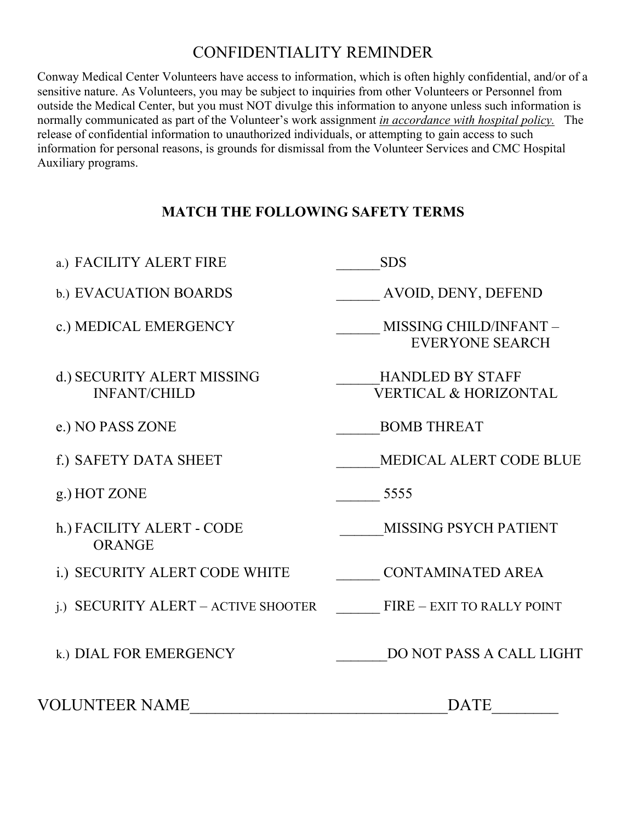#### CONFIDENTIALITY REMINDER

Conway Medical Center Volunteers have access to information, which is often highly confidential, and/or of a sensitive nature. As Volunteers, you may be subject to inquiries from other Volunteers or Personnel from outside the Medical Center, but you must NOT divulge this information to anyone unless such information is normally communicated as part of the Volunteer's work assignment *in accordance with hospital policy.* The release of confidential information to unauthorized individuals, or attempting to gain access to such information for personal reasons, is grounds for dismissal from the Volunteer Services and CMC Hospital Auxiliary programs.

#### **MATCH THE FOLLOWING SAFETY TERMS**

| a.) FACILITY ALERT FIRE                           | <b>SDS</b>                                                  |
|---------------------------------------------------|-------------------------------------------------------------|
| b.) EVACUATION BOARDS                             | AVOID, DENY, DEFEND                                         |
| c.) MEDICAL EMERGENCY                             | MISSING CHILD/INFANT -<br><b>EVERYONE SEARCH</b>            |
| d.) SECURITY ALERT MISSING<br><b>INFANT/CHILD</b> | <b>HANDLED BY STAFF</b><br><b>VERTICAL &amp; HORIZONTAL</b> |
| e.) NO PASS ZONE                                  | <b>BOMB THREAT</b>                                          |
| f.) SAFETY DATA SHEET                             | MEDICAL ALERT CODE BLUE                                     |
| g.) HOT ZONE                                      | 5555                                                        |
| h.) FACILITY ALERT - CODE<br><b>ORANGE</b>        | MISSING PSYCH PATIENT                                       |
| i.) SECURITY ALERT CODE WHITE                     | <b>CONTAMINATED AREA</b>                                    |
| i.) SECURITY ALERT – ACTIVE SHOOTER               | FIRE - EXIT TO RALLY POINT                                  |
| k.) DIAL FOR EMERGENCY                            | DO NOT PASS A CALL LIGHT                                    |
| VOLUNTEER NAME                                    | <b>DATE</b>                                                 |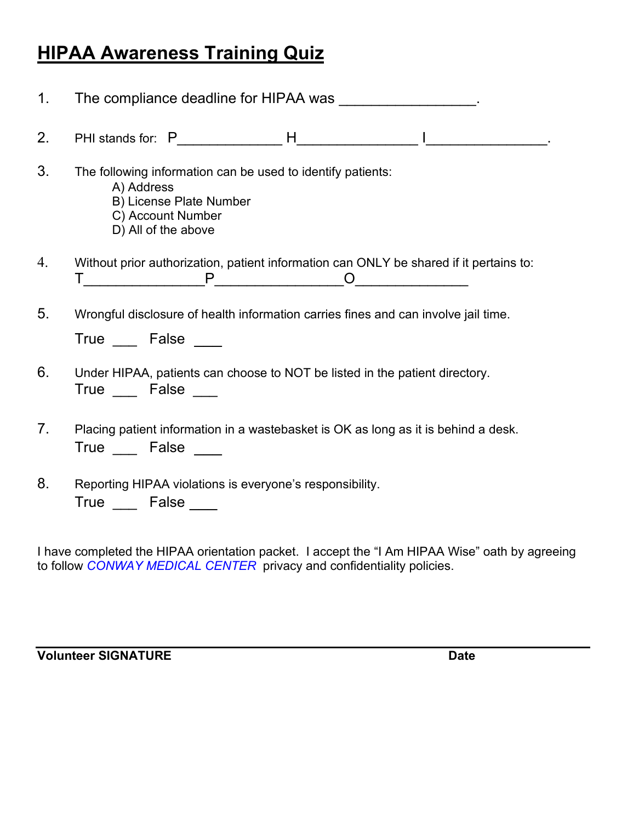# **HIPAA Awareness Training Quiz**

| 1.             | The compliance deadline for HIPAA was The compliance deadline for HIPAA was                                                                      |  |  |  |  |
|----------------|--------------------------------------------------------------------------------------------------------------------------------------------------|--|--|--|--|
| 2.             |                                                                                                                                                  |  |  |  |  |
| 3.             | The following information can be used to identify patients:<br>A) Address<br>B) License Plate Number<br>C) Account Number<br>D) All of the above |  |  |  |  |
| 4.             | Without prior authorization, patient information can ONLY be shared if it pertains to:                                                           |  |  |  |  |
| 5.             | Wrongful disclosure of health information carries fines and can involve jail time.                                                               |  |  |  |  |
|                | True ____ False ____                                                                                                                             |  |  |  |  |
| 6.             | Under HIPAA, patients can choose to NOT be listed in the patient directory.<br>True False                                                        |  |  |  |  |
| 7 <sub>1</sub> | Placing patient information in a wastebasket is OK as long as it is behind a desk.                                                               |  |  |  |  |
| 8.             | Reporting HIPAA violations is everyone's responsibility.<br>True ____ False                                                                      |  |  |  |  |

I have completed the HIPAA orientation packet. I accept the "I Am HIPAA Wise" oath by agreeing to follow *CONWAY MEDICAL CENTER* privacy and confidentiality policies.

**Volunteer SIGNATURE** Date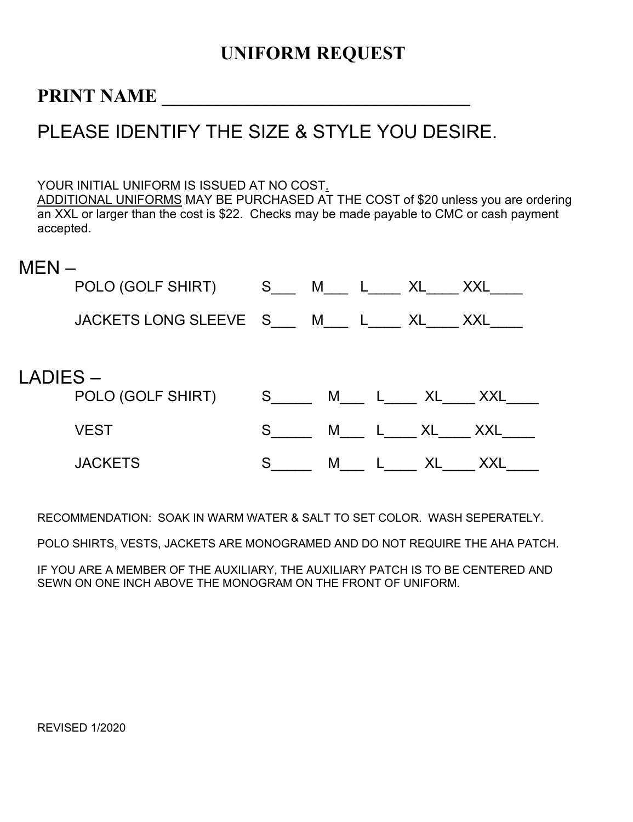# **UNIFORM REQUEST**

### **PRINT NAME \_\_\_\_\_\_\_\_\_\_\_\_\_\_\_\_\_\_\_\_\_\_\_\_\_\_\_\_\_\_\_\_\_**

# PLEASE IDENTIFY THE SIZE & STYLE YOU DESIRE.

YOUR INITIAL UNIFORM IS ISSUED AT NO COST. ADDITIONAL UNIFORMS MAY BE PURCHASED AT THE COST of \$20 unless you are ordering an XXL or larger than the cost is \$22. Checks may be made payable to CMC or cash payment accepted.

| V<br> |  |
|-------|--|
|-------|--|

|         | POLO (GOLF SHIRT) S M L XL XXL   |   |    |              |
|---------|----------------------------------|---|----|--------------|
|         | JACKETS LONG SLEEVE S M L XL XXL |   |    |              |
| LADIES- | POLO (GOLF SHIRT)                |   |    | S M L XL XXL |
|         | <b>VEST</b>                      |   |    | M L XL XXL   |
|         | <b>JACKETS</b>                   | M | XL | XXL          |

RECOMMENDATION: SOAK IN WARM WATER & SALT TO SET COLOR. WASH SEPERATELY.

POLO SHIRTS, VESTS, JACKETS ARE MONOGRAMED AND DO NOT REQUIRE THE AHA PATCH.

IF YOU ARE A MEMBER OF THE AUXILIARY, THE AUXILIARY PATCH IS TO BE CENTERED AND SEWN ON ONE INCH ABOVE THE MONOGRAM ON THE FRONT OF UNIFORM.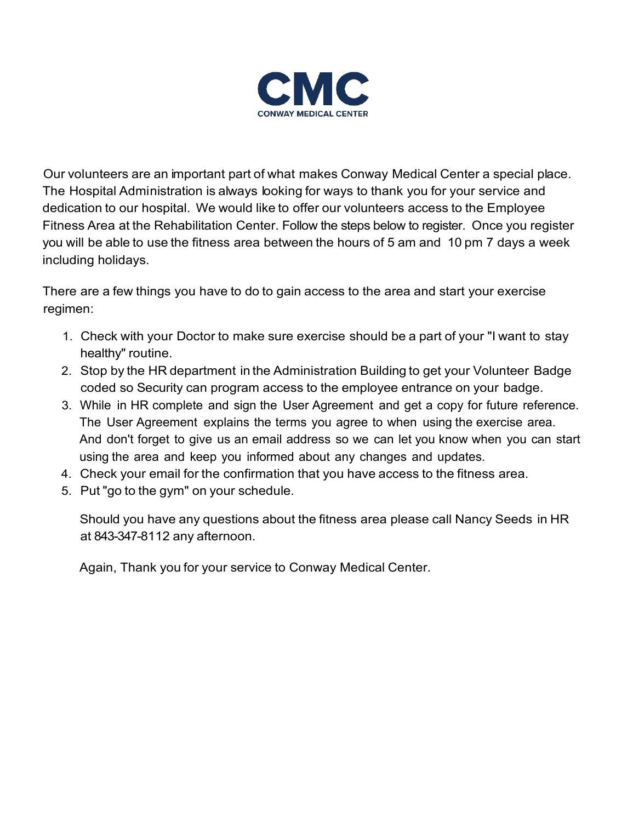

Our volunteers are an important part of what makes Conway Medical Center a special place. The Hospital Administration is always looking for ways to thank you for your service and dedication to our hospital. We would like to offer our volunteers access to the Employee Fitness Area at the Rehabilitation Center. Follow the steps below to register. Once you register you will be able to use the fitness area between the hours of 5 am and 10 pm 7 days a week including holidays.

There are a few things you have to do to gain access to the area and start your exercise regimen:

- 1. Check with your Doctor to make sure exercise should be a part of your "I want to stay healthy" routine.
- 2. Stop by the HR department in the Administration Building to get your Volunteer Badge coded so Security can program access to the employee entrance on your badge.
- 3. While in HR complete and sign the User Agreement and get a copy for future reference. The User Agreement explains the terms you agree to when using the exercise area. And don't forget to give us an email address so we can let you know when you can start using the area and keep you informed about any changes and updates.
- 4. Check your email for the confirmation that you have access to the fitness area.
- 5. Put "go to the gym" on your schedule.

Should you have any questions about the fitness area please call Nancy Seeds in HR at 843-347-8112 any afternoon.

Again, Thank you for your service to Conway Medical Center.